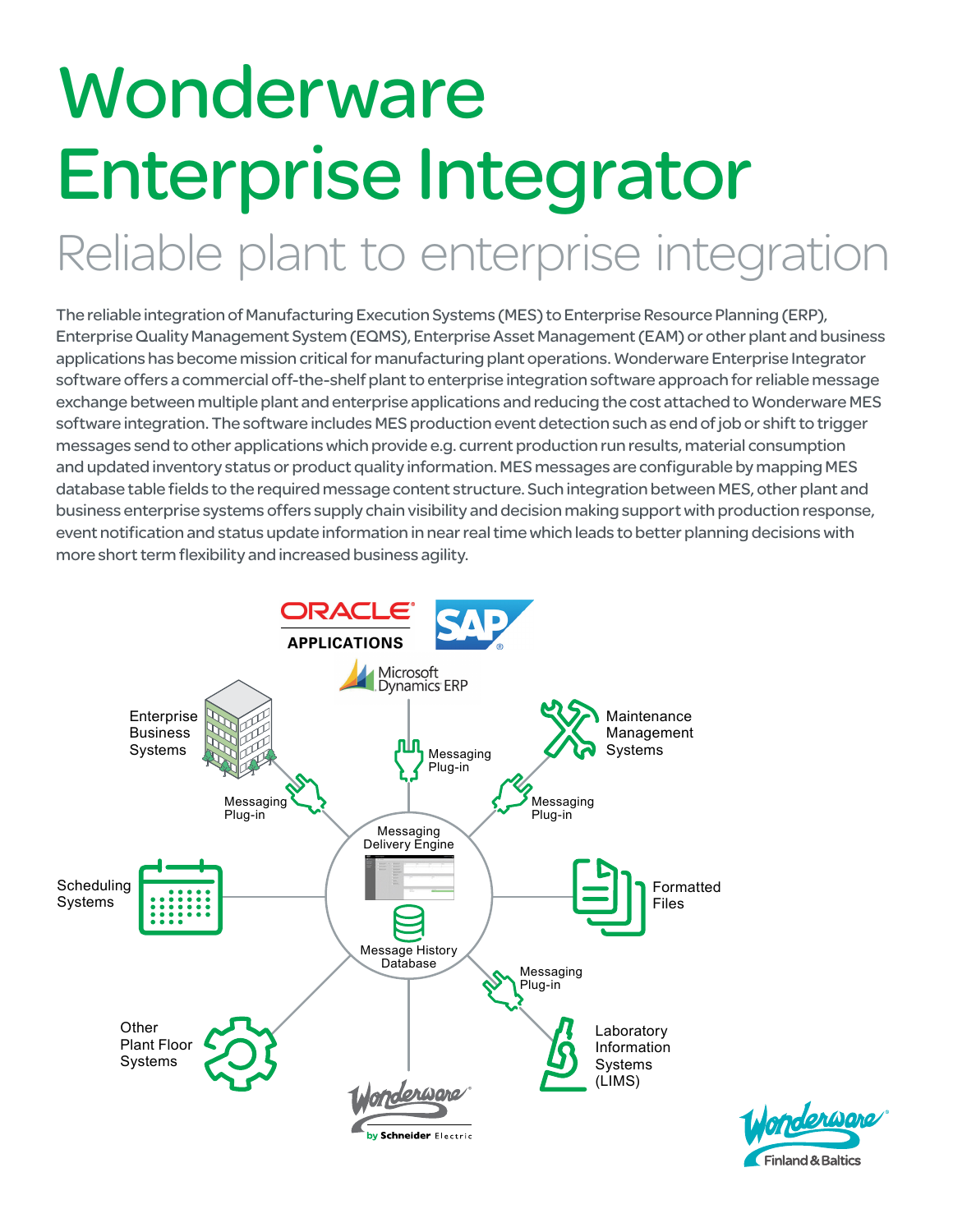# **Wonderware** Enterprise Integrator Reliable plant to enterprise integration

The reliable integration of Manufacturing Execution Systems (MES) to Enterprise Resource Planning (ERP), Enterprise Quality Management System (EQMS), Enterprise Asset Management (EAM) or other plant and business applications has become mission critical for manufacturing plant operations. Wonderware Enterprise Integrator software offers a commercial off-the-shelf plant to enterprise integration software approach for reliable message exchange between multiple plant and enterprise applications and reducing the cost attached to Wonderware MES software integration. The software includes MES production event detection such as end of job or shift to trigger messages send to other applications which provide e.g. current production run results, material consumption and updated inventory status or product quality information. MES messages are configurable by mapping MES database table fields to the required message content structure. Such integration between MES, other plant and business enterprise systems offers supply chain visibility and decision making support with production response, event notification and status update information in near real time which leads to better planning decisions with more short term flexibility and increased business agility.



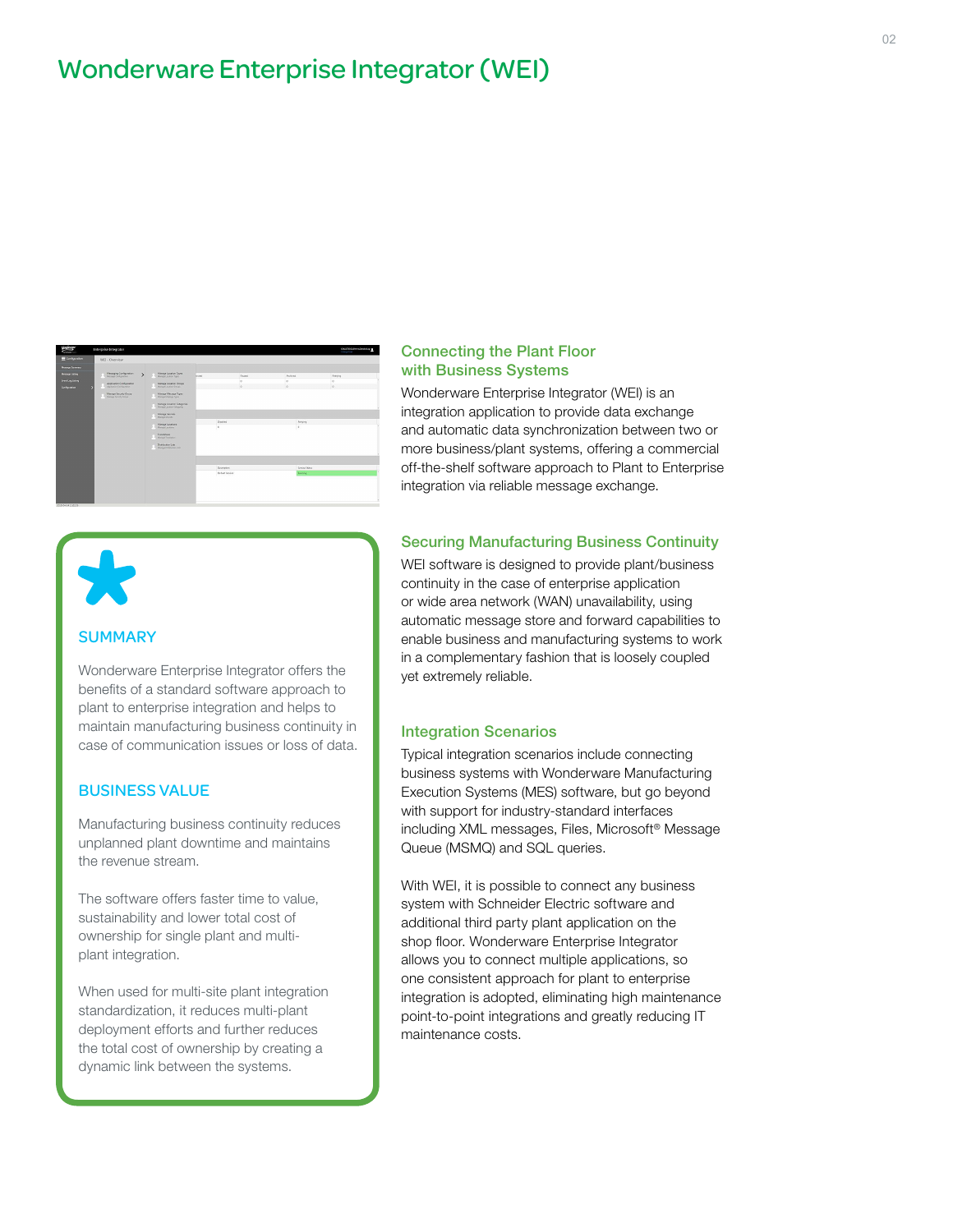# Wonderware Enterprise Integrator (WEI)



## **SUMMARY**

Wonderware Enterprise Integrator offers the benefits of a standard software approach to plant to enterprise integration and helps to maintain manufacturing business continuity in case of communication issues or loss of data.

## BUSINESS VALUE

Manufacturing business continuity reduces unplanned plant downtime and maintains the revenue stream.

The software offers faster time to value, sustainability and lower total cost of ownership for single plant and multiplant integration.

When used for multi-site plant integration standardization, it reduces multi-plant deployment efforts and further reduces the total cost of ownership by creating a dynamic link between the systems.

#### Connecting the Plant Floor with Business Systems

Wonderware Enterprise Integrator (WEI) is an integration application to provide data exchange and automatic data synchronization between two or more business/plant systems, offering a commercial off-the-shelf software approach to Plant to Enterprise integration via reliable message exchange.

#### Securing Manufacturing Business Continuity

WEI software is designed to provide plant/business continuity in the case of enterprise application or wide area network (WAN) unavailability, using automatic message store and forward capabilities to enable business and manufacturing systems to work in a complementary fashion that is loosely coupled yet extremely reliable.

#### Integration Scenarios

Typical integration scenarios include connecting business systems with Wonderware Manufacturing Execution Systems (MES) software, but go beyond with support for industry-standard interfaces including XML messages, Files, Microsoft® Message Queue (MSMQ) and SQL queries.

With WEI, it is possible to connect any business system with Schneider Electric software and additional third party plant application on the shop floor. Wonderware Enterprise Integrator allows you to connect multiple applications, so one consistent approach for plant to enterprise integration is adopted, eliminating high maintenance point-to-point integrations and greatly reducing IT maintenance costs.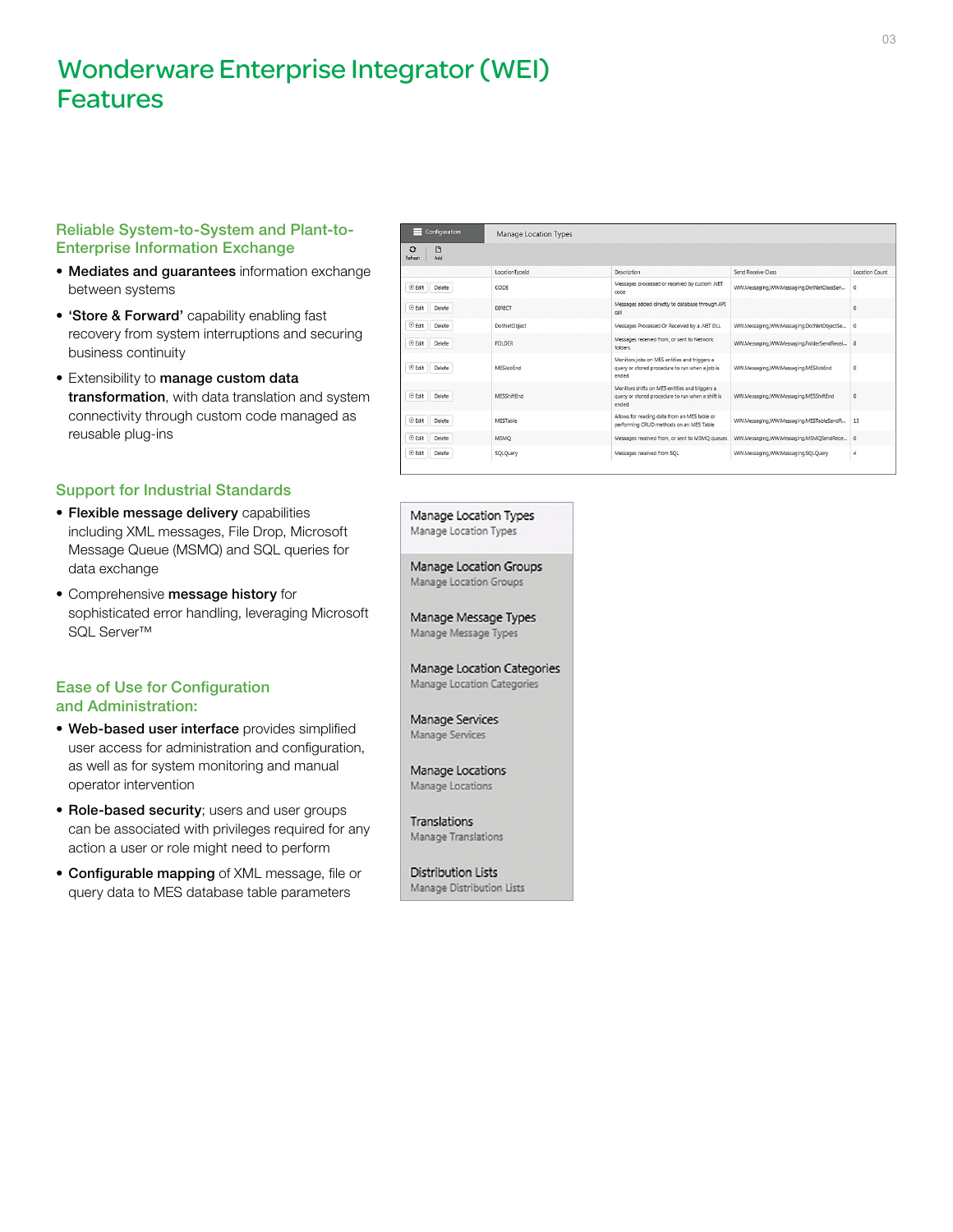# Wonderware Enterprise Integrator (WEI) Features

## Reliable System-to-System and Plant-to-Enterprise Information Exchange

- Mediates and guarantees information exchange between systems
- 'Store & Forward' capability enabling fast recovery from system interruptions and securing business continuity
- Extensibility to manage custom data transformation, with data translation and system connectivity through custom code managed as reusable plug-ins

## Support for Industrial Standards

- Flexible message delivery capabilities including XML messages, File Drop, Microsoft Message Queue (MSMQ) and SQL queries for data exchange
- Comprehensive message history for sophisticated error handling, leveraging Microsoft SQL Server™

#### Ease of Use for Configuration and Administration:

- Web-based user interface provides simplified user access for administration and configuration, as well as for system monitoring and manual operator intervention
- Role-based security; users and user groups can be associated with privileges required for any action a user or role might need to perform
- Configurable mapping of XML message, file or query data to MES database table parameters

| Configuration<br><b>Manage Location Types</b><br>m<br>$\circ$<br>Add<br>Refresh |                     |                                                                                                             |                                           |          |
|---------------------------------------------------------------------------------|---------------------|-------------------------------------------------------------------------------------------------------------|-------------------------------------------|----------|
|                                                                                 |                     |                                                                                                             |                                           |          |
| ⊙ Edit<br>Delete                                                                | CODE                | Messages processed or received by custom .NET<br>code                                                       | WW.Messaging,WW.Messaging.DotNetClassSen  | $\circ$  |
| ⊙ Edit<br>Delete                                                                | <b>DIRECT</b>       | Messages added directly to database through API<br>call                                                     |                                           | $\circ$  |
| ⊙ Felit<br>Delete                                                               | <b>DotNetObiect</b> | Messages Processed Or Received by a .NET DLL                                                                | WW.Messaging,WW.Messaging.DotNetObjectSe  | $\Omega$ |
| ⊙ Edit<br>Delete                                                                | <b>FOLDER</b>       | Messages received from, or sent to Network<br>folders.                                                      | WW.Messaging.WW.Messaging.FolderSendRecei | 8        |
| $\odot$ Edit<br>Delete                                                          | MESJobEnd           | Monitors jobs on MES entities and triggers a<br>query or stored procedure to run when a job is<br>ended     | WW.Messaging.WW.Messaging.MESJobEnd       | $\circ$  |
| ⊙ Edit<br>Delete                                                                | MESShiftEnd         | Monitors shifts on MES entities and triggers a<br>query or stored procedure to run when a shift is<br>ended | WW.Messaging.WW.Messaging.MESShiftEnd     | $\circ$  |
| ⊙ Edit<br>Delete                                                                | MESTable            | Allows for reading data from an MES table or<br>performing CRUD methods on an MES Table                     | WW.Messaging,WW.Messaging.MESTableSendR   | 13       |
| ⊙ Edit<br>Delete                                                                | <b>MSMO</b>         | Messages received from, or sent to MSMO gueues                                                              | WW.Messaging.WW.Messaging.MSMOSendRece 0  |          |
| ⊙ Edit<br>Delete                                                                | SQLQuery            | Messages received from SQL                                                                                  | WW.Messaging,WW.Messaging.SQLQuery        | 4        |

Manage Location Types Manage Location Types

Manage Location Groups Manage Location Groups

Manage Message Types Manage Message Types

Manage Location Categories Manage Location Categories

Manage Services Manage Services

Manage Locations Manage Locations

Translations Manage Translations

Distribution Lists Manage Distribution Lists